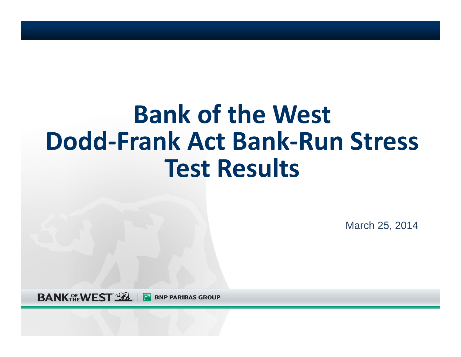# **Bank of the West Dodd‐Frank Act Bank‐Run Stress Test Results**

March 25, 2014

**BANK ALE WEST SEA BNP PARIBAS GROUP**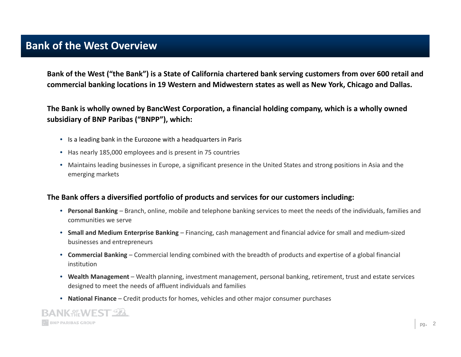## **Bank of the West Overview**

Bank of the West ("the Bank") is a State of California chartered bank serving customers from over 600 retail and **commercial banking locations in 19 Western and Midwestern states as well as New York, Chicago and Dallas.**

 **The Bank is wholly owned by BancWest Corporation, <sup>a</sup> financial holding company, which is <sup>a</sup> wholly owned subsidiary of BNP Paribas ("BNPP"), which:**

- Is a leading bank in the Eurozone with <sup>a</sup> headquarters in Paris
- Has nearly 185,000 employees and is present in 75 countries
- Maintains leading businesses in Europe, <sup>a</sup> significant presence in the United States and strong positions in Asia and the emerging markets

#### **The Bank offers <sup>a</sup> diversified portfolio of products and services for our customers including:**

- **Personal Banking** Branch, online, mobile and telephone banking services to meet the needs of the individuals, families and communities we serve
- **Small and Medium Enterprise Banking** Financing, cash management and financial advice for small and medium‐sized businesses and entrepreneurs
- **Commercial Banking** Commercial lending combined with the breadth of products and expertise of <sup>a</sup> global financial institution
- **Wealth Management** Wealth planning, investment management, personal banking, retirement, trust and estate services designed to meet the needs of affluent individuals and families
- **National Finance** Credit products for homes, vehicles and other major consumer purchases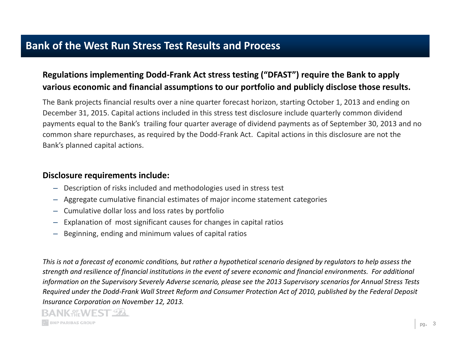## **Bank of the West Run Stress Test Results and Process**

#### **Regulations implementing Dodd‐Frank Act stress testing ("DFAST") require the Bank to apply various economic and financial assumptions to our portfolio and publicly disclose those results.**

The Bank projects financial results over <sup>a</sup> nine quarter forecast horizon, starting October 1, 2013 and ending on December 31, 2015. Capital actions included in this stress test disclosure include quarterly common dividend payments equal to the Bank's trailing four quarter average of dividend payments as of September 30, 2013 and no common share repurchases, as required by the Dodd‐Frank Act. Capital actions in this disclosure are not the Bank's planned capital actions.

#### **Disclosure requirements include:**

- Description of risks included and methodologies used in stress test
- Aggregate cumulative financial estimates of major income statement categories
- Cumulative dollar loss and loss rates by portfolio
- Explanation of most significant causes for changes in capital ratios
- Beginning, ending and minimum values of capital ratios

This is not a forecast of economic conditions, but rather a hypothetical scenario designed by regulators to help assess the strength and resilience of financial institutions in the event of severe economic and financial environments. For additional information on the Supervisory Severely Adverse scenario, please see the 2013 Supervisory scenarios for Annual Stress Tests Required under the Dodd-Frank Wall Street Reform and Consumer Protection Act of 2010, published by the Federal Deposit *Insurance Corporation on November 12, 2013.*

#### **BANK AF WEST SEA BNP PARIBAS GROUP**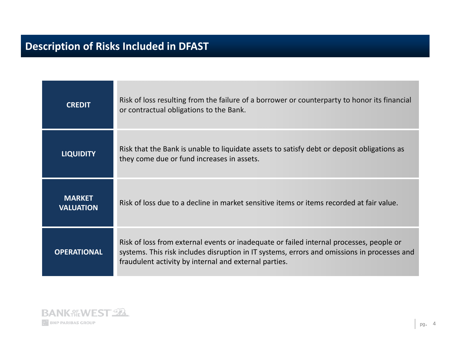# **Description of Risks Included in DFAST**

| <b>CREDIT</b>                     | Risk of loss resulting from the failure of a borrower or counterparty to honor its financial<br>or contractual obligations to the Bank.                                                                                                         |
|-----------------------------------|-------------------------------------------------------------------------------------------------------------------------------------------------------------------------------------------------------------------------------------------------|
| <b>LIQUIDITY</b>                  | Risk that the Bank is unable to liquidate assets to satisfy debt or deposit obligations as<br>they come due or fund increases in assets.                                                                                                        |
| <b>MARKET</b><br><b>VALUATION</b> | Risk of loss due to a decline in market sensitive items or items recorded at fair value.                                                                                                                                                        |
| <b>OPERATIONAL</b>                | Risk of loss from external events or inadequate or failed internal processes, people or<br>systems. This risk includes disruption in IT systems, errors and omissions in processes and<br>fraudulent activity by internal and external parties. |

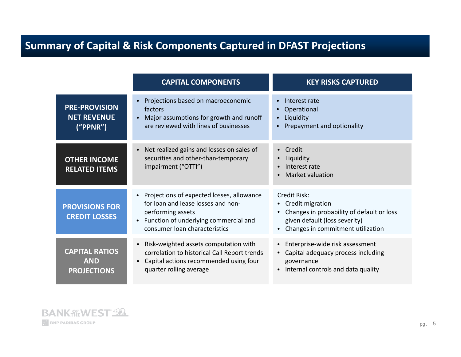# **Summary of Capital & Risk Components Captured in DFAST Projections**

|                                                           | <b>CAPITAL COMPONENTS</b>                                                                                                                                                      | <b>KEY RISKS CAPTURED</b>                                                                                                                             |  |
|-----------------------------------------------------------|--------------------------------------------------------------------------------------------------------------------------------------------------------------------------------|-------------------------------------------------------------------------------------------------------------------------------------------------------|--|
| <b>PRE-PROVISION</b><br><b>NET REVENUE</b><br>("PPNR")    | Projections based on macroeconomic<br>factors<br>Major assumptions for growth and runoff<br>are reviewed with lines of businesses                                              | Interest rate<br>Operational<br>Liquidity<br>Prepayment and optionality                                                                               |  |
| <b>OTHER INCOME</b><br><b>RELATED ITEMS</b>               | Net realized gains and losses on sales of<br>securities and other-than-temporary<br>impairment ("OTTI")                                                                        | Credit<br>$\bullet$<br>Liquidity<br>Interest rate<br>Market valuation                                                                                 |  |
| <b>PROVISIONS FOR</b><br><b>CREDIT LOSSES</b>             | Projections of expected losses, allowance<br>for loan and lease losses and non-<br>performing assets<br>Function of underlying commercial and<br>consumer loan characteristics | Credit Risk:<br>• Credit migration<br>Changes in probability of default or loss<br>given default (loss severity)<br>Changes in commitment utilization |  |
| <b>CAPITAL RATIOS</b><br><b>AND</b><br><b>PROJECTIONS</b> | Risk-weighted assets computation with<br>$\bullet$<br>correlation to historical Call Report trends<br>Capital actions recommended using four<br>quarter rolling average        | • Enterprise-wide risk assessment<br>• Capital adequacy process including<br>governance<br>Internal controls and data quality<br>$\bullet$            |  |

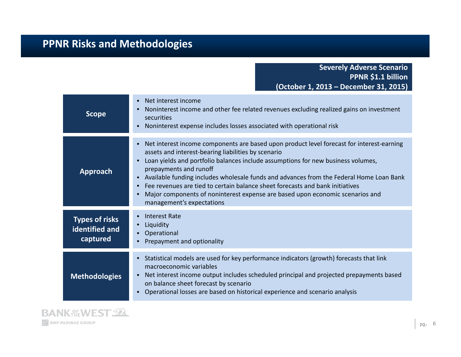## **PPNR Risks and Methodologies**

**Severely Adverse Scenario PPNR \$1.1 billion (October 1, 2013 – December 31, 2015)**

| <b>Scope</b>                                        | Net interest income<br>Noninterest income and other fee related revenues excluding realized gains on investment<br>securities<br>Noninterest expense includes losses associated with operational risk                                                                                                                                                                                                                                                                                                                                                    |
|-----------------------------------------------------|----------------------------------------------------------------------------------------------------------------------------------------------------------------------------------------------------------------------------------------------------------------------------------------------------------------------------------------------------------------------------------------------------------------------------------------------------------------------------------------------------------------------------------------------------------|
| Approach                                            | Net interest income components are based upon product level forecast for interest-earning<br>assets and interest-bearing liabilities by scenario<br>Loan yields and portfolio balances include assumptions for new business volumes,<br>prepayments and runoff<br>Available funding includes wholesale funds and advances from the Federal Home Loan Bank<br>Fee revenues are tied to certain balance sheet forecasts and bank initiatives<br>Major components of noninterest expense are based upon economic scenarios and<br>management's expectations |
| <b>Types of risks</b><br>identified and<br>captured | Interest Rate<br>Liquidity<br>Operational<br>Prepayment and optionality                                                                                                                                                                                                                                                                                                                                                                                                                                                                                  |
| <b>Methodologies</b>                                | Statistical models are used for key performance indicators (growth) forecasts that link<br>macroeconomic variables<br>Net interest income output includes scheduled principal and projected prepayments based<br>on balance sheet forecast by scenario<br>Operational losses are based on historical experience and scenario analysis                                                                                                                                                                                                                    |

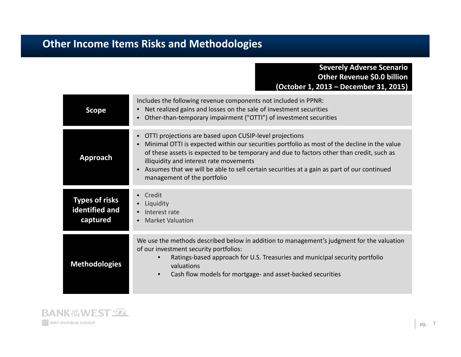## **Other Income Items Risks and Methodologies**

#### **Severely Adverse Scenario Other Revenue \$0.0 billion (October 1, 2013 – December 31, 2015)**

| <b>Scope</b>                                        | Includes the following revenue components not included in PPNR:<br>Net realized gains and losses on the sale of investment securities<br>Other-than-temporary impairment ("OTTI") of investment securities                                                                                                                                                                                                                   |  |  |
|-----------------------------------------------------|------------------------------------------------------------------------------------------------------------------------------------------------------------------------------------------------------------------------------------------------------------------------------------------------------------------------------------------------------------------------------------------------------------------------------|--|--|
| <b>Approach</b>                                     | OTTI projections are based upon CUSIP-level projections<br>Minimal OTTI is expected within our securities portfolio as most of the decline in the value<br>of these assets is expected to be temporary and due to factors other than credit, such as<br>illiquidity and interest rate movements<br>Assumes that we will be able to sell certain securities at a gain as part of our continued<br>management of the portfolio |  |  |
|                                                     | Credit                                                                                                                                                                                                                                                                                                                                                                                                                       |  |  |
| <b>Types of risks</b><br>identified and<br>captured | Liquidity<br>Interest rate<br><b>Market Valuation</b><br>$\bullet$                                                                                                                                                                                                                                                                                                                                                           |  |  |
| <b>Methodologies</b>                                | We use the methods described below in addition to management's judgment for the valuation                                                                                                                                                                                                                                                                                                                                    |  |  |
|                                                     | of our investment security portfolios:<br>Ratings-based approach for U.S. Treasuries and municipal security portfolio<br>valuations<br>Cash flow models for mortgage- and asset-backed securities<br>$\bullet$                                                                                                                                                                                                               |  |  |

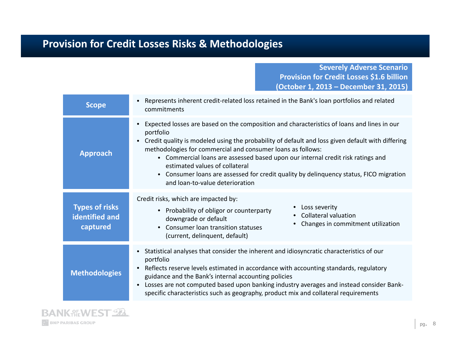## **Provision for Credit Losses Risks & Methodologies**

**Severely Adverse Scenario Provision for Credit Losses \$1.6 billion (October 1, 2013 – December 31, 2015)**

| <b>Scope</b>                                        | Represents inherent credit-related loss retained in the Bank's loan portfolios and related<br>commitments                                                                                                                                                                                                                                                                                                                                                                                                                               |  |  |
|-----------------------------------------------------|-----------------------------------------------------------------------------------------------------------------------------------------------------------------------------------------------------------------------------------------------------------------------------------------------------------------------------------------------------------------------------------------------------------------------------------------------------------------------------------------------------------------------------------------|--|--|
| <b>Approach</b>                                     | Expected losses are based on the composition and characteristics of loans and lines in our<br>portfolio<br>Credit quality is modeled using the probability of default and loss given default with differing<br>methodologies for commercial and consumer loans as follows:<br>• Commercial loans are assessed based upon our internal credit risk ratings and<br>estimated values of collateral<br>Consumer loans are assessed for credit quality by delinguency status, FICO migration<br>$\bullet$<br>and loan-to-value deterioration |  |  |
| <b>Types of risks</b><br>identified and<br>captured | Credit risks, which are impacted by:<br>• Loss severity<br>• Probability of obligor or counterparty<br>• Collateral valuation<br>downgrade or default<br>Changes in commitment utilization<br>Consumer loan transition statuses<br>(current, delinquent, default)                                                                                                                                                                                                                                                                       |  |  |
| <b>Methodologies</b>                                | Statistical analyses that consider the inherent and idiosyncratic characteristics of our<br>portfolio<br>Reflects reserve levels estimated in accordance with accounting standards, regulatory<br>guidance and the Bank's internal accounting policies<br>Losses are not computed based upon banking industry averages and instead consider Bank-<br>specific characteristics such as geography, product mix and collateral requirements                                                                                                |  |  |

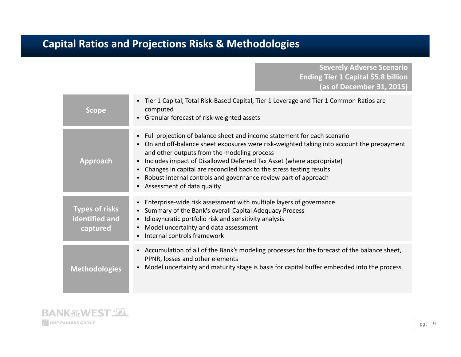## **Capital Ratios and Projections Risks & Methodologies**

**Severely Adverse Scenario Ending Tier <sup>1</sup> Capital \$5.8 billion (as of December 31, 2015)**

| <b>Scope</b>                                        | Tier 1 Capital, Total Risk-Based Capital, Tier 1 Leverage and Tier 1 Common Ratios are<br>computed<br>• Granular forecast of risk-weighted assets                                                                                                                                                                                                                                                                                                                   |
|-----------------------------------------------------|---------------------------------------------------------------------------------------------------------------------------------------------------------------------------------------------------------------------------------------------------------------------------------------------------------------------------------------------------------------------------------------------------------------------------------------------------------------------|
| Approach                                            | Full projection of balance sheet and income statement for each scenario<br>On and off-balance sheet exposures were risk-weighted taking into account the prepayment<br>and other outputs from the modeling process<br>Includes impact of Disallowed Deferred Tax Asset (where appropriate)<br>Changes in capital are reconciled back to the stress testing results<br>Robust internal controls and governance review part of approach<br>Assessment of data quality |
| <b>Types of risks</b><br>identified and<br>captured | Enterprise-wide risk assessment with multiple layers of governance<br>$\bullet$<br>Summary of the Bank's overall Capital Adequacy Process<br>$\bullet$<br>Idiosyncratic portfolio risk and sensitivity analysis<br>Model uncertainty and data assessment<br>Internal controls framework                                                                                                                                                                             |
| <b>Methodologies</b>                                | • Accumulation of all of the Bank's modeling processes for the forecast of the balance sheet,<br>PPNR, losses and other elements<br>Model uncertainty and maturity stage is basis for capital buffer embedded into the process                                                                                                                                                                                                                                      |

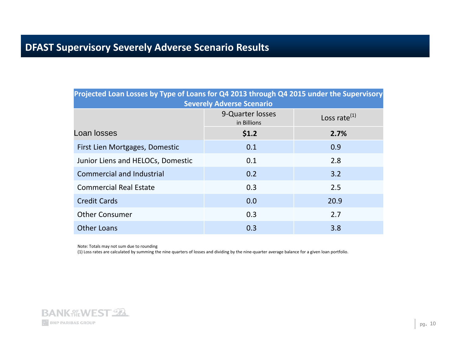### **DFAST Supervisory Severely Adverse Scenario Results**

| Projected Loan Losses by Type of Loans for Q4 2013 through Q4 2015 under the Supervisory<br><b>Severely Adverse Scenario</b> |                                 |                    |  |
|------------------------------------------------------------------------------------------------------------------------------|---------------------------------|--------------------|--|
|                                                                                                                              | 9-Quarter losses<br>in Billions | Loss rate $^{(1)}$ |  |
| Loan losses                                                                                                                  | \$1.2                           | 2.7%               |  |
| First Lien Mortgages, Domestic                                                                                               | 0.1                             | 0.9                |  |
| Junior Liens and HELOCs, Domestic                                                                                            | 0.1                             | 2.8                |  |
| <b>Commercial and Industrial</b>                                                                                             | 0.2                             | 3.2                |  |
| <b>Commercial Real Estate</b>                                                                                                | 0.3                             | 2.5                |  |
| <b>Credit Cards</b>                                                                                                          | 0.0                             | 20.9               |  |
| <b>Other Consumer</b>                                                                                                        | 0.3                             | 2.7                |  |
| <b>Other Loans</b>                                                                                                           | 0.3                             | 3.8                |  |

Note: Totals may not sum due to rounding

(1) Loss rates are calculated by summing the nine quarters of losses and dividing by the nine‐quarter average balance for <sup>a</sup> given loan portfolio.

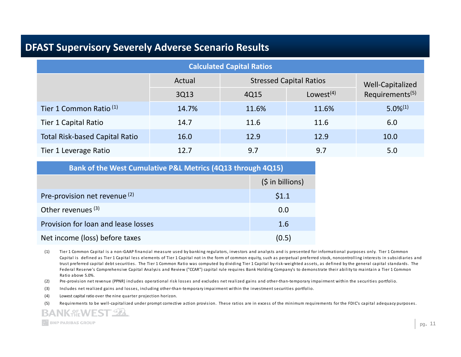### **DFAST Supervisory Severely Adverse Scenario Results**

| <b>Calculated Capital Ratios</b>      |        |                                |              |                             |
|---------------------------------------|--------|--------------------------------|--------------|-----------------------------|
|                                       | Actual | <b>Stressed Capital Ratios</b> |              | Well-Capitalized            |
|                                       | 3Q13   | 4Q15                           | Lowest $(4)$ | Requirements <sup>(5)</sup> |
| Tier 1 Common Ratio <sup>(1)</sup>    | 14.7%  | 11.6%                          | 11.6%        | $5.0\%^{(1)}$               |
| Tier 1 Capital Ratio                  | 14.7   | 11.6                           | 11.6         | 6.0                         |
| <b>Total Risk-based Capital Ratio</b> | 16.0   | 12.9                           | 12.9         | 10.0                        |
| Tier 1 Leverage Ratio                 | 12.7   | 9.7                            | 9.7          | 5.0                         |

**Bank of the West Cumulative P&L Metrics (4Q13 through 4Q15)**

|                                          | $(5$ in billions) |
|------------------------------------------|-------------------|
| Pre-provision net revenue <sup>(2)</sup> | \$1.1             |
| Other revenues $(3)$                     | 0.0               |
| Provision for loan and lease losses      | 1.6               |
| Net income (loss) before taxes           | (0.5)             |

(1) Tier 1 Common Capital is a non-GAAP financial measure used by banking regulators, investors and analysts and is presented for informational purposes only. Tier 1 Common Capital is defined as Tier 1 Capital less elements of Tier 1 Capital not in the form of common equity, such as perpetual preferred stock, noncontrolling interests in subsidiaries and trust preferred capital debt securities. The Tier 1 Common Ratio was computed by dividing Tier 1 Capital by risk‐weighted assets, as defined by the general capital standards. The Federal Reserve's Comprehensive Capital Analysis and Review ("CCAR") capital rule requires Bank Holding Company's to demonstrate their ability to maintain a Tier 1 Common Ra tio above 5.0%.

(2) Pre-provision net revenue (PPNR) includes operational risk losses and excludes net realized gains and other-than-temporary impairment within the securities portfolio.

(3) Includes net reali zed gains and losses, including other‐tha <sup>n</sup>‐tempora ry impai rment wi thin the inves tment securi ties portfolio.

(4) Lowest capital ratio over the nine quarter projection horizon.

(5) Requirements to be well-capitalized under prompt corrective action provision. These ratios are in excess of the minimum requirements for the FDIC's capital adequacy purposes.